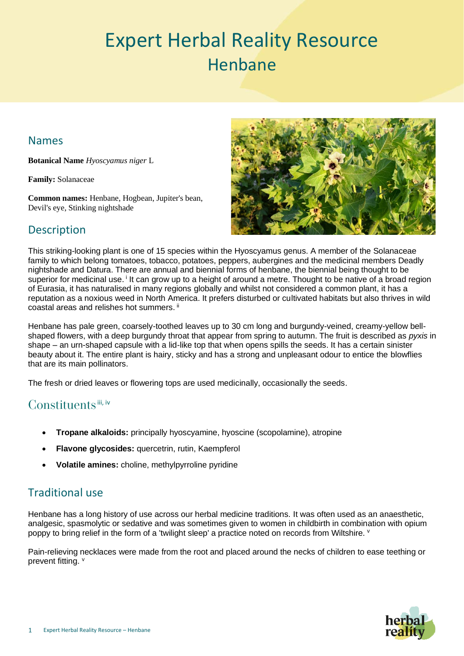# Expert Herbal Reality Resource Henbane

# Names

**Botanical Name** *Hyoscyamus niger* L

**Family:** Solanaceae

**Common names:** Henbane, Hogbean, Jupiter's bean, Devil's eye, Stinking nightshade



# **Description**

This striking-looking plant is one of 15 species within the Hyoscyamus genus. A member of the Solanaceae family to which belong tomatoes, tobacco, potatoes, peppers, aubergines and the medicinal members Deadly nightshade and Datura. There are annual and biennial forms of henbane, the biennial being thought to be superior for medicinal use.<sup>i</sup> It can grow up to a height of around a metre. Thought to be native of a broad region of Eurasia, it has naturalised in many regions globally and whilst not considered a common plant, it has a reputation as a noxious weed in North America. It prefers disturbed or cultivated habitats but also thrives in wild coastal areas and relishes hot summers.  $\mathbb{I}$ 

Henbane has pale green, coarsely-toothed leaves up to 30 cm long and burgundy-veined, creamy-yellow bellshaped flowers, with a deep burgundy throat that appear from spring to autumn. The fruit is described as *pyxis* in shape – an urn-shaped capsule with a lid-like top that when opens spills the seeds. It has a certain sinister beauty about it. The entire plant is hairy, sticky and has a strong and unpleasant odour to entice the blowflies that are its main pollinators.

The fresh or dried leaves or flowering tops are used medicinally, occasionally the seeds.

# Constituents  $iii, iv$

- **Tropane alkaloids:** principally hyoscyamine, hyoscine (scopolamine), atropine
- **Flavone glycosides:** quercetrin, rutin, Kaempferol
- **Volatile amines:** choline, methylpyrroline pyridine

# Traditional use

Henbane has a long history of use across our herbal medicine traditions. It was often used as an anaesthetic, analgesic, spasmolytic or sedative and was sometimes given to women in childbirth in combination with opium poppy to bring relief in the form of a 'twilight sleep' a practice noted on records from Wiltshire. v

Pain-relieving necklaces were made from the root and placed around the necks of children to ease teething or prevent fitting. v

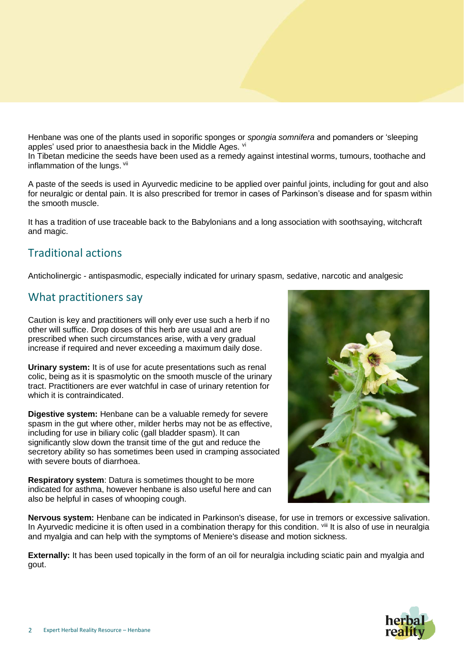Henbane was one of the plants used in soporific sponges or *spongia somnifera* and pomanders or 'sleeping apples' used prior to anaesthesia back in the Middle Ages. vi

In Tibetan medicine the seeds have been used as a remedy against intestinal worms, tumours, toothache and inflammation of the lungs. Vil

A paste of the seeds is used in Ayurvedic medicine to be applied over painful joints, including for gout and also for neuralgic or dental pain. It is also prescribed for tremor in cases of Parkinson's disease and for spasm within the smooth muscle.

It has a tradition of use traceable back to the Babylonians and a long association with soothsaying, witchcraft and magic.

# Traditional actions

Anticholinergic - antispasmodic, especially indicated for urinary spasm, sedative, narcotic and analgesic

#### What practitioners say

Caution is key and practitioners will only ever use such a herb if no other will suffice. Drop doses of this herb are usual and are prescribed when such circumstances arise, with a very gradual increase if required and never exceeding a maximum daily dose.

**Urinary system:** It is of use for acute presentations such as renal colic, being as it is spasmolytic on the smooth muscle of the urinary tract. Practitioners are ever watchful in case of urinary retention for which it is contraindicated.

**Digestive system:** Henbane can be a valuable remedy for severe spasm in the gut where other, milder herbs may not be as effective, including for use in biliary colic (gall bladder spasm). It can significantly slow down the transit time of the gut and reduce the secretory ability so has sometimes been used in cramping associated with severe bouts of diarrhoea.

**Respiratory system**: Datura is sometimes thought to be more indicated for asthma, however henbane is also useful here and can also be helpful in cases of whooping cough.



**Nervous system:** Henbane can be indicated in Parkinson's disease, for use in tremors or excessive salivation. In Ayurvedic medicine it is often used in a combination therapy for this condition. Vill It is also of use in neuralgia and myalgia and can help with the symptoms of Meniere's disease and motion sickness.

**Externally:** It has been used topically in the form of an oil for neuralgia including sciatic pain and myalgia and gout.

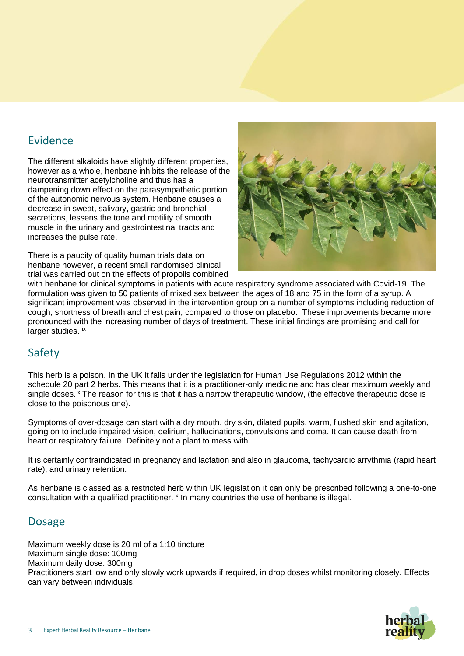## Evidence

The different alkaloids have slightly different properties, however as a whole, henbane inhibits the release of the neurotransmitter acetylcholine and thus has a dampening down effect on the parasympathetic portion of the autonomic nervous system. Henbane causes a decrease in sweat, salivary, gastric and bronchial secretions, lessens the tone and motility of smooth muscle in the urinary and gastrointestinal tracts and increases the pulse rate.

There is a paucity of quality human trials data on henbane however, a recent small randomised clinical trial was carried out on the effects of propolis combined



with henbane for clinical symptoms in patients with acute respiratory syndrome associated with Covid-19. The formulation was given to 50 patients of mixed sex between the ages of 18 and 75 in the form of a syrup. A significant improvement was observed in the intervention group on a number of symptoms including reduction of cough, shortness of breath and chest pain, compared to those on placebo. These improvements became more pronounced with the increasing number of days of treatment. These initial findings are promising and call for larger studies. ix

# Safety

This herb is a poison. In the UK it falls under the legislation for Human Use Regulations 2012 within the schedule 20 part 2 herbs. This means that it is a practitioner-only medicine and has clear maximum weekly and single doses. <sup>x</sup> The reason for this is that it has a narrow therapeutic window, (the effective therapeutic dose is close to the poisonous one).

Symptoms of over-dosage can start with a dry mouth, dry skin, dilated pupils, warm, flushed skin and agitation, going on to include impaired vision, delirium, hallucinations, convulsions and coma. It can cause death from heart or respiratory failure. Definitely not a plant to mess with.

It is certainly contraindicated in pregnancy and lactation and also in glaucoma, tachycardic arrythmia (rapid heart rate), and urinary retention.

As henbane is classed as a restricted herb within UK legislation it can only be prescribed following a one-to-one consultation with a qualified practitioner. <sup>x</sup> In many countries the use of henbane is illegal.

## **Dosage**

Maximum weekly dose is 20 ml of a 1:10 tincture Maximum single dose: 100mg Maximum daily dose: 300mg Practitioners start low and only slowly work upwards if required, in drop doses whilst monitoring closely. Effects can vary between individuals.